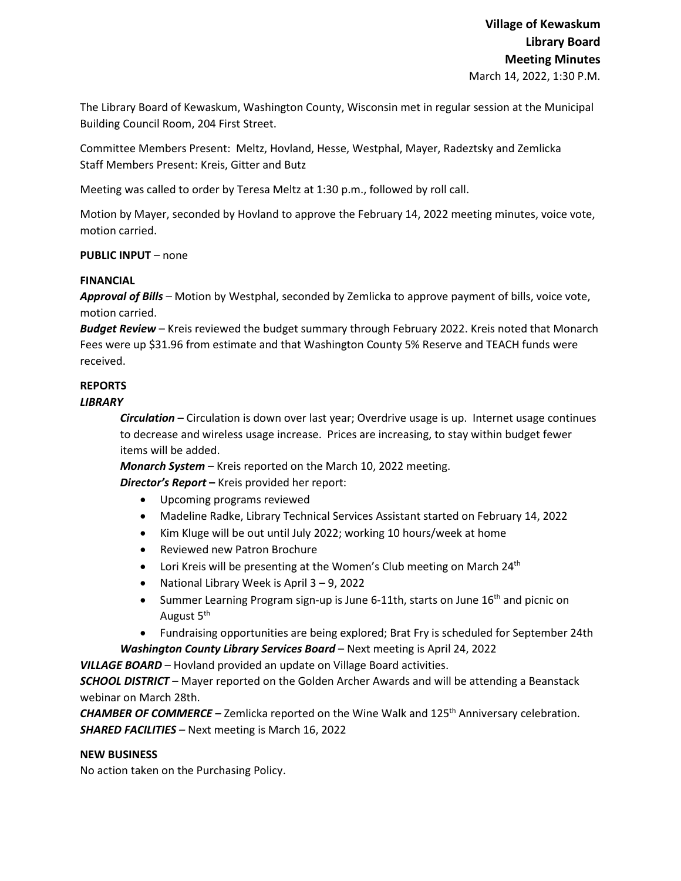The Library Board of Kewaskum, Washington County, Wisconsin met in regular session at the Municipal Building Council Room, 204 First Street.

Committee Members Present: Meltz, Hovland, Hesse, Westphal, Mayer, Radeztsky and Zemlicka Staff Members Present: Kreis, Gitter and Butz

Meeting was called to order by Teresa Meltz at 1:30 p.m., followed by roll call.

Motion by Mayer, seconded by Hovland to approve the February 14, 2022 meeting minutes, voice vote, motion carried.

# **PUBLIC INPUT** – none

### **FINANCIAL**

*Approval of Bills –* Motion by Westphal, seconded by Zemlicka to approve payment of bills, voice vote, motion carried.

*Budget Review* – Kreis reviewed the budget summary through February 2022. Kreis noted that Monarch Fees were up \$31.96 from estimate and that Washington County 5% Reserve and TEACH funds were received.

# **REPORTS**

# *LIBRARY*

*Circulation* – Circulation is down over last year; Overdrive usage is up. Internet usage continues to decrease and wireless usage increase. Prices are increasing, to stay within budget fewer items will be added.

*Monarch System* – Kreis reported on the March 10, 2022 meeting.

*Director's Report* **–** Kreis provided her report:

- Upcoming programs reviewed
- Madeline Radke, Library Technical Services Assistant started on February 14, 2022
- Kim Kluge will be out until July 2022; working 10 hours/week at home
- Reviewed new Patron Brochure
- Lori Kreis will be presenting at the Women's Club meeting on March 24<sup>th</sup>
- National Library Week is April 3 9, 2022
- Summer Learning Program sign-up is June 6-11th, starts on June 16<sup>th</sup> and picnic on August 5<sup>th</sup>
- Fundraising opportunities are being explored; Brat Fry is scheduled for September 24th

*Washington County Library Services Board* – Next meeting is April 24, 2022

*VILLAGE BOARD* – Hovland provided an update on Village Board activities.

*SCHOOL DISTRICT* – Mayer reported on the Golden Archer Awards and will be attending a Beanstack webinar on March 28th.

*CHAMBER OF COMMERCE –* Zemlicka reported on the Wine Walk and 125<sup>th</sup> Anniversary celebration. *SHARED FACILITIES –* Next meeting is March 16, 2022

### **NEW BUSINESS**

No action taken on the Purchasing Policy.